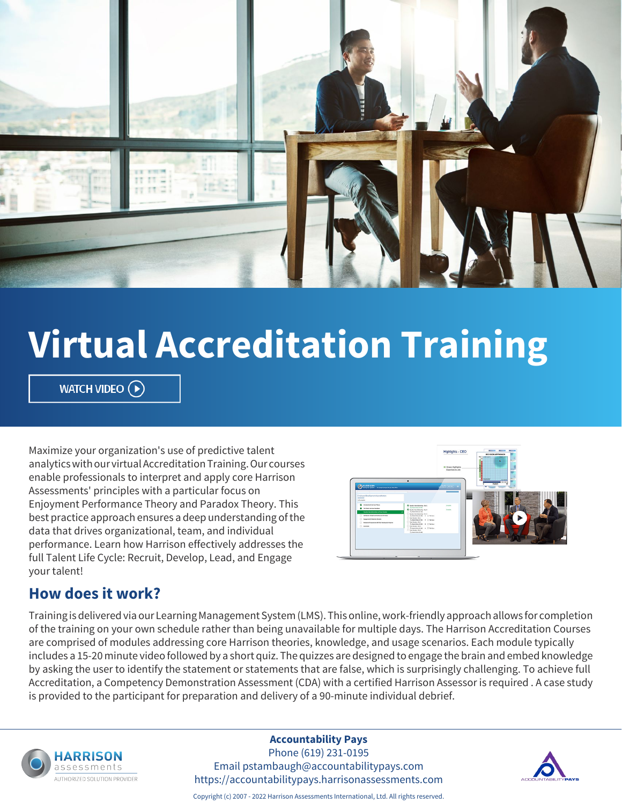

# **Virtual Accreditation Training**

WATCH VIDEO  $(P)$ 

Maximize your organization's use of predictive talent analytics with our virtual Accreditation Training. Our courses enable professionals to interpret and apply core Harrison Assessments' principles with a particular focus on Enjoyment Performance Theory and Paradox Theory. This best practice approach ensures a deep understanding of the data that drives organizational, team, and individual performance. Learn how Harrison effectively addresses the full Talent Life Cycle: Recruit, Develop, Lead, and Engage your talent!



#### **How does it work?**

Training is delivered via our Learning Management System (LMS). This online, work-friendly approach allows for completion of the training on your own schedule rather than being unavailable for multiple days. The Harrison Accreditation Courses are comprised of modules addressing core Harrison theories, knowledge, and usage scenarios. Each module typically includes a 15-20 minute video followed by a short quiz. The quizzes are designed to engage the brain and embed knowledge by asking the user to identify the statement or statements that are false, which is surprisingly challenging. To achieve full Accreditation, a Competency Demonstration Assessment (CDA) with a certified Harrison Assessor is required . A case study is provided to the participant for preparation and delivery of a 90-minute individual debrief.



**Accountability Pays**

Phone (619) 231-0195 Email pstambaugh@accountabilitypays.com https://accountabilitypays.harrisonassessments.com



Copyright (c) 2007 - 2022 Harrison Assessments International, Ltd. All rights reserved.